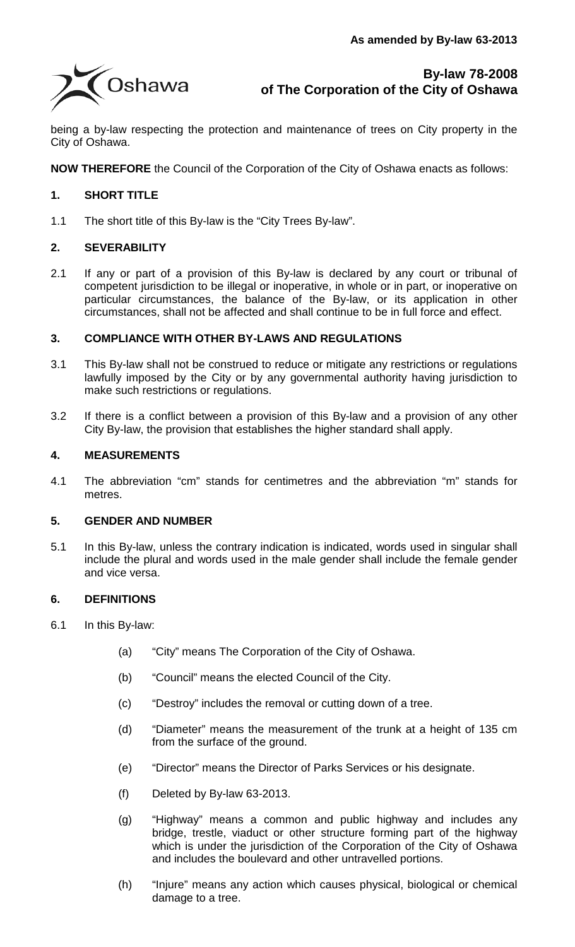

being a by-law respecting the protection and maintenance of trees on City property in the City of Oshawa.

**NOW THEREFORE** the Council of the Corporation of the City of Oshawa enacts as follows:

# **1. SHORT TITLE**

1.1 The short title of this By-law is the "City Trees By-law".

# **2. SEVERABILITY**

2.1 If any or part of a provision of this By-law is declared by any court or tribunal of competent jurisdiction to be illegal or inoperative, in whole or in part, or inoperative on particular circumstances, the balance of the By-law, or its application in other circumstances, shall not be affected and shall continue to be in full force and effect.

# **3. COMPLIANCE WITH OTHER BY-LAWS AND REGULATIONS**

- 3.1 This By-law shall not be construed to reduce or mitigate any restrictions or regulations lawfully imposed by the City or by any governmental authority having jurisdiction to make such restrictions or regulations.
- 3.2 If there is a conflict between a provision of this By-law and a provision of any other City By-law, the provision that establishes the higher standard shall apply.

#### **4. MEASUREMENTS**

4.1 The abbreviation "cm" stands for centimetres and the abbreviation "m" stands for metres.

#### **5. GENDER AND NUMBER**

5.1 In this By-law, unless the contrary indication is indicated, words used in singular shall include the plural and words used in the male gender shall include the female gender and vice versa.

#### **6. DEFINITIONS**

- 6.1 In this By-law:
	- (a) "City" means The Corporation of the City of Oshawa.
	- (b) "Council" means the elected Council of the City.
	- (c) "Destroy" includes the removal or cutting down of a tree.
	- (d) "Diameter" means the measurement of the trunk at a height of 135 cm from the surface of the ground.
	- (e) "Director" means the Director of Parks Services or his designate.
	- (f) Deleted by By-law 63-2013.
	- (g) "Highway" means a common and public highway and includes any bridge, trestle, viaduct or other structure forming part of the highway which is under the jurisdiction of the Corporation of the City of Oshawa and includes the boulevard and other untravelled portions.
	- (h) "Injure" means any action which causes physical, biological or chemical damage to a tree.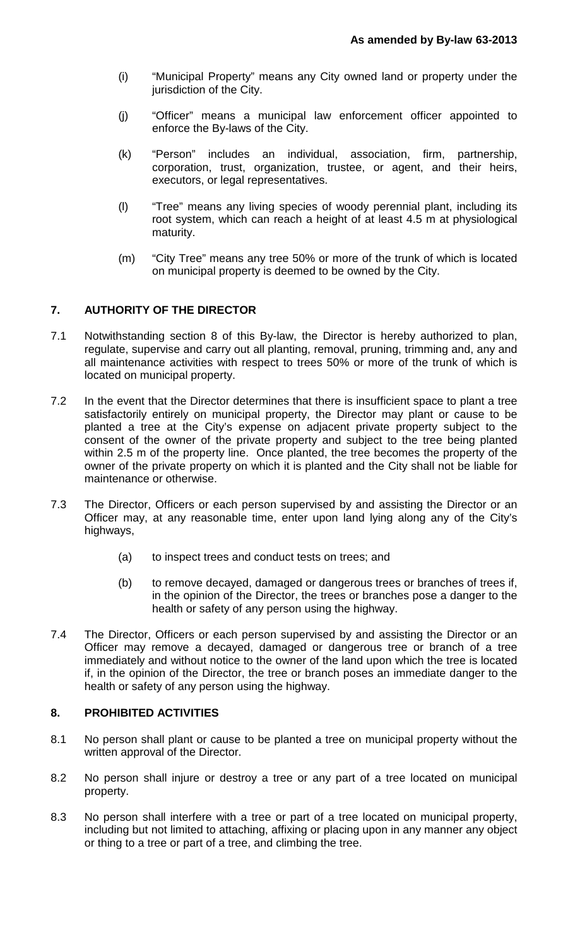- (i) "Municipal Property" means any City owned land or property under the jurisdiction of the City.
- (j) "Officer" means a municipal law enforcement officer appointed to enforce the By-laws of the City.
- (k) "Person" includes an individual, association, firm, partnership, corporation, trust, organization, trustee, or agent, and their heirs, executors, or legal representatives.
- (l) "Tree" means any living species of woody perennial plant, including its root system, which can reach a height of at least 4.5 m at physiological maturity.
- (m) "City Tree" means any tree 50% or more of the trunk of which is located on municipal property is deemed to be owned by the City.

# **7. AUTHORITY OF THE DIRECTOR**

- 7.1 Notwithstanding section 8 of this By-law, the Director is hereby authorized to plan, regulate, supervise and carry out all planting, removal, pruning, trimming and, any and all maintenance activities with respect to trees 50% or more of the trunk of which is located on municipal property.
- 7.2 In the event that the Director determines that there is insufficient space to plant a tree satisfactorily entirely on municipal property, the Director may plant or cause to be planted a tree at the City's expense on adjacent private property subject to the consent of the owner of the private property and subject to the tree being planted within 2.5 m of the property line. Once planted, the tree becomes the property of the owner of the private property on which it is planted and the City shall not be liable for maintenance or otherwise.
- 7.3 The Director, Officers or each person supervised by and assisting the Director or an Officer may, at any reasonable time, enter upon land lying along any of the City's highways,
	- (a) to inspect trees and conduct tests on trees; and
	- (b) to remove decayed, damaged or dangerous trees or branches of trees if, in the opinion of the Director, the trees or branches pose a danger to the health or safety of any person using the highway.
- 7.4 The Director, Officers or each person supervised by and assisting the Director or an Officer may remove a decayed, damaged or dangerous tree or branch of a tree immediately and without notice to the owner of the land upon which the tree is located if, in the opinion of the Director, the tree or branch poses an immediate danger to the health or safety of any person using the highway.

# **8. PROHIBITED ACTIVITIES**

- 8.1 No person shall plant or cause to be planted a tree on municipal property without the written approval of the Director.
- 8.2 No person shall injure or destroy a tree or any part of a tree located on municipal property.
- 8.3 No person shall interfere with a tree or part of a tree located on municipal property, including but not limited to attaching, affixing or placing upon in any manner any object or thing to a tree or part of a tree, and climbing the tree.